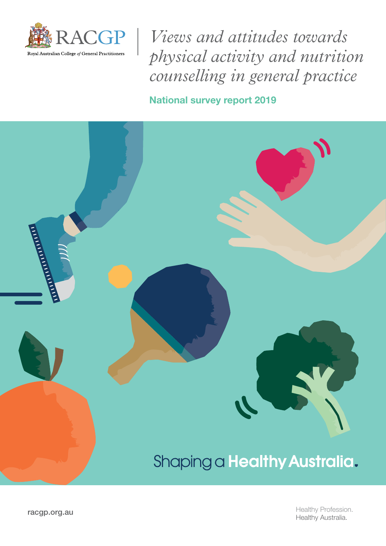

*Views and attitudes towards physical activity and nutrition counselling in general practice*

National survey report 2019

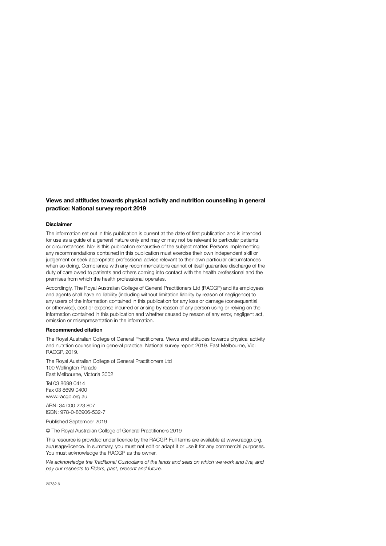## Views and attitudes towards physical activity and nutrition counselling in general practice: National survey report 2019

## Disclaimer

The information set out in this publication is current at the date of first publication and is intended for use as a guide of a general nature only and may or may not be relevant to particular patients or circumstances. Nor is this publication exhaustive of the subject matter. Persons implementing any recommendations contained in this publication must exercise their own independent skill or judgement or seek appropriate professional advice relevant to their own particular circumstances when so doing. Compliance with any recommendations cannot of itself guarantee discharge of the duty of care owed to patients and others coming into contact with the health professional and the premises from which the health professional operates.

Accordingly, The Royal Australian College of General Practitioners Ltd (RACGP) and its employees and agents shall have no liability (including without limitation liability by reason of negligence) to any users of the information contained in this publication for any loss or damage (consequential or otherwise), cost or expense incurred or arising by reason of any person using or relying on the information contained in this publication and whether caused by reason of any error, negligent act, omission or misrepresentation in the information.

## Recommended citation

The Royal Australian College of General Practitioners. Views and attitudes towards physical activity and nutrition counselling in general practice: National survey report 2019. East Melbourne, Vic: RACGP, 2019.

The Royal Australian College of General Practitioners Ltd 100 Wellington Parade East Melbourne, Victoria 3002

Tel 03 8699 0414 Fax 03 8699 0400 [www.racgp.org.au](http://www.racgp.org.au)

ABN: 34 000 223 807 ISBN: 978-0-86906-532-7

Published September 2019

© The Royal Australian College of General Practitioners 2019

[This](mailto:This) resource is provided under licence by the RACGP. Full terms are available at [www.racgp.org.](https://www.racgp.org.au/usage/licence) [au/usage/licence](https://www.racgp.org.au/usage/licence). In summary, you must not edit or adapt it or use it for any commercial purposes. You must acknowledge the RACGP as the owner.

We acknowledge the Traditional Custodians of the lands and seas on which we work and live, and *pay our respects to Elders, past, present and future.*

20782.6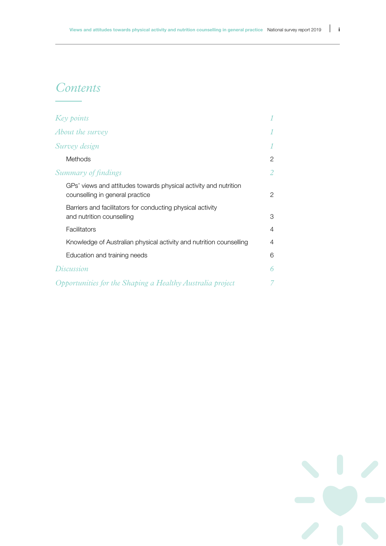# *Contents*

| Key points                                                                                          |   |
|-----------------------------------------------------------------------------------------------------|---|
| <i>About the survey</i>                                                                             |   |
| <i>Survey design</i>                                                                                |   |
| <b>Methods</b>                                                                                      | 2 |
| Summary of findings                                                                                 | 2 |
| GPs' views and attitudes towards physical activity and nutrition<br>counselling in general practice | 2 |
| Barriers and facilitators for conducting physical activity<br>and nutrition counselling             | 3 |
| Facilitators                                                                                        | 4 |
| Knowledge of Australian physical activity and nutrition counselling                                 | 4 |
| Education and training needs                                                                        | 6 |
| <i>Discussion</i>                                                                                   | 6 |
| Opportunities for the Shaping a Healthy Australia project                                           |   |

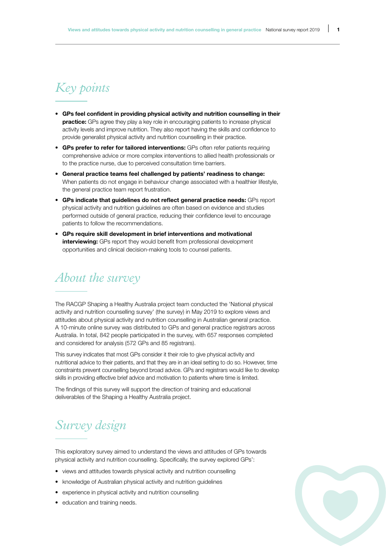# <span id="page-4-0"></span>*Key points*

- GPs feel confident in providing physical activity and nutrition counselling in their practice: GPs agree they play a key role in encouraging patients to increase physical activity levels and improve nutrition. They also report having the skills and confidence to provide generalist physical activity and nutrition counselling in their practice.
- GPs prefer to refer for tailored interventions: GPs often refer patients requiring comprehensive advice or more complex interventions to allied health professionals or to the practice nurse, due to perceived consultation time barriers.
- General practice teams feel challenged by patients' readiness to change: When patients do not engage in behaviour change associated with a healthier lifestyle, the general practice team report frustration.
- GPs indicate that guidelines do not reflect general practice needs: GPs report physical activity and nutrition guidelines are often based on evidence and studies performed outside of general practice, reducing their confidence level to encourage patients to follow the recommendations.
- GPs require skill development in brief interventions and motivational interviewing: GPs report they would benefit from professional development opportunities and clinical decision-making tools to counsel patients.

# *About the survey*

The RACGP Shaping a Healthy Australia project team conducted the 'National physical activity and nutrition counselling survey' (the survey) in May 2019 to explore views and attitudes about physical activity and nutrition counselling in Australian general practice. A 10-minute online survey was distributed to GPs and general practice registrars across Australia. In total, 842 people participated in the survey, with 657 responses completed and considered for analysis (572 GPs and 85 registrars).

This survey indicates that most GPs consider it their role to give physical activity and nutritional advice to their patients, and that they are in an ideal setting to do so. However, time constraints prevent counselling beyond broad advice. GPs and registrars would like to develop skills in providing effective brief advice and motivation to patients where time is limited.

The findings of this survey will support the direction of training and educational deliverables of the Shaping a Healthy Australia project.

# *Survey design*

This exploratory survey aimed to understand the views and attitudes of GPs towards physical activity and nutrition counselling. Specifically, the survey explored GPs':

- views and attitudes towards physical activity and nutrition counselling
- knowledge of Australian physical activity and nutrition guidelines
- experience in physical activity and nutrition counselling
- education and training needs.

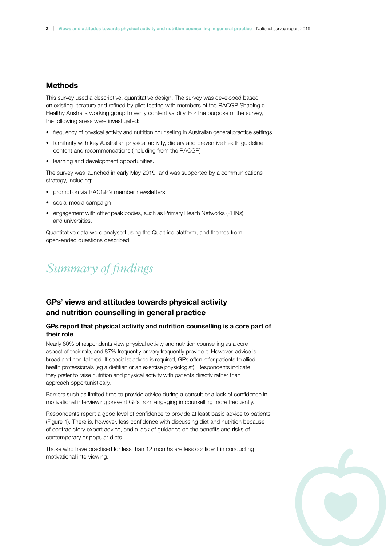# <span id="page-5-0"></span>Methods

This survey used a descriptive, quantitative design. The survey was developed based on existing literature and refined by pilot testing with members of the RACGP Shaping a Healthy Australia working group to verify content validity. For the purpose of the survey, the following areas were investigated:

- frequency of physical activity and nutrition counselling in Australian general practice settings
- familiarity with key Australian physical activity, dietary and preventive health guideline content and recommendations (including from the RACGP)
- learning and development opportunities.

The survey was launched in early May 2019, and was supported by a communications strategy, including:

- promotion via RACGP's member newsletters
- social media campaign
- engagement with other peak bodies, such as Primary Health Networks (PHNs) and universities.

Quantitative data were analysed using the Qualtrics platform, and themes from open-ended questions described.

# *Summary of findings*

# GPs' views and attitudes towards physical activity and nutrition counselling in general practice

# GPs report that physical activity and nutrition counselling is a core part of their role

Nearly 80% of respondents view physical activity and nutrition counselling as a core aspect of their role, and 87% frequently or very frequently provide it. However, advice is broad and non-tailored. If specialist advice is required, GPs often refer patients to allied health professionals (eg a dietitian or an exercise physiologist). Respondents indicate they prefer to raise nutrition and physical activity with patients directly rather than approach opportunistically.

Barriers such as limited time to provide advice during a consult or a lack of confidence in motivational interviewing prevent GPs from engaging in counselling more frequently.

Respondents report a good level of confidence to provide at least basic advice to patients (Figure 1). There is, however, less confidence with discussing diet and nutrition because of contradictory expert advice, and a lack of guidance on the benefits and risks of contemporary or popular diets.

Those who have practised for less than 12 months are less confident in conducting motivational interviewing.

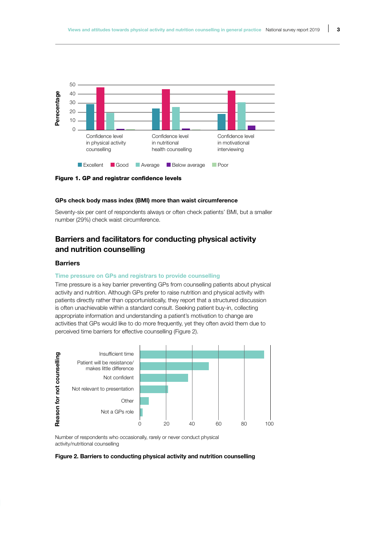<span id="page-6-0"></span>

### GPs check body mass index (BMI) more than waist circumference

Seventy-six per cent of respondents always or often check patients' BMI, but a smaller number (29%) check waist circumference.

# Barriers and facilitators for conducting physical activity and nutrition counselling

## Barriers

## Time pressure on GPs and registrars to provide counselling

Time pressure is a key barrier preventing GPs from counselling patients about physical activity and nutrition. Although GPs prefer to raise nutrition and physical activity with patients directly rather than opportunistically, they report that a structured discussion is often unachievable within a standard consult. Seeking patient buy-in, collecting appropriate information and understanding a patient's motivation to change are activities that GPs would like to do more frequently, yet they often avoid them due to perceived time barriers for effective counselling (Figure 2).



Number of respondents who occasionally, rarely or never conduct physical activity/nutritional counselling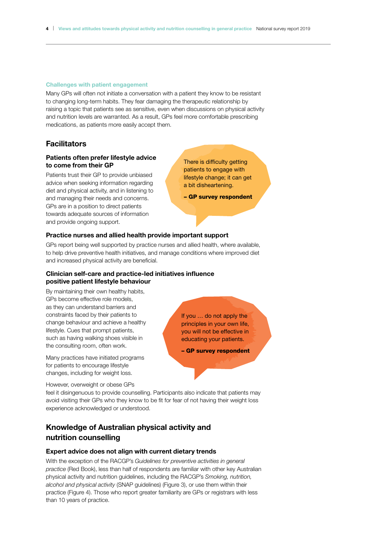### <span id="page-7-0"></span>Challenges with patient engagement

Many GPs will often not initiate a conversation with a patient they know to be resistant to changing long-term habits. They fear damaging the therapeutic relationship by raising a topic that patients see as sensitive, even when discussions on physical activity and nutrition levels are warranted. As a result, GPs feel more comfortable prescribing medications, as patients more easily accept them.

# **Facilitators**

# Patients often prefer lifestyle advice to come from their GP

Patients trust their GP to provide unbiased advice when seeking information regarding diet and physical activity, and in listening to and managing their needs and concerns. GPs are in a position to direct patients towards adequate sources of information and provide ongoing support.

There is difficulty getting patients to engage with lifestyle change; it can get a bit disheartening.

– GP survey respondent

## Practice nurses and allied health provide important support

GPs report being well supported by practice nurses and allied health, where available, to help drive preventive health initiatives, and manage conditions where improved diet and increased physical activity are beneficial.

# Clinician self-care and practice-led initiatives influence positive patient lifestyle behaviour

By maintaining their own healthy habits, GPs become effective role models, as they can understand barriers and constraints faced by their patients to change behaviour and achieve a healthy lifestyle. Cues that prompt patients, such as having walking shoes visible in the consulting room, often work.

Many practices have initiated programs for patients to encourage lifestyle changes, including for weight loss.

However, overweight or obese GPs

If you … do not apply the principles in your own life, you will not be effective in educating your patients.

– GP survey respondent

feel it disingenuous to provide counselling. Participants also indicate that patients may avoid visiting their GPs who they know to be fit for fear of not having their weight loss experience acknowledged or understood.

# Knowledge of Australian physical activity and nutrition counselling

## Expert advice does not align with current dietary trends

With the exception of the RACGP's *Guidelines for preventive activities in general practice* (Red Book), less than half of respondents are familiar with other key Australian physical activity and nutrition guidelines, including the RACGP's *Smoking, nutrition, alcohol and physical activity* (SNAP guidelines) (Figure 3), or use them within their practice (Figure 4). Those who report greater familiarity are GPs or registrars with less than 10 years of practice.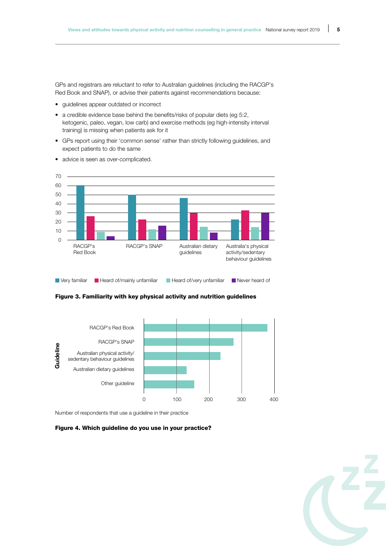GPs and registrars are reluctant to refer to Australian guidelines (including the RACGP's Red Book and SNAP), or advise their patients against recommendations because:

- guidelines appear outdated or incorrect
- a credible evidence base behind the benefits/risks of popular diets (eg 5:2, ketogenic, paleo, vegan, low carb) and exercise methods (eg high-intensity interval training) is missing when patients ask for it
- GPs report using their 'common sense' rather than strictly following guidelines, and expect patients to do the same



• advice is seen as over-complicated.





Number of respondents that use a guideline in their practice

Figure 4. Which guideline do you use in your practice?

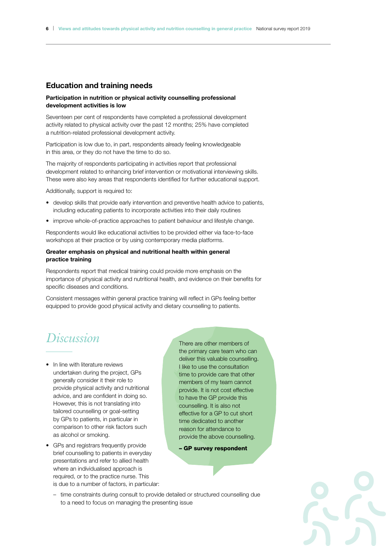# <span id="page-9-0"></span>Education and training needs

## Participation in nutrition or physical activity counselling professional development activities is low

Seventeen per cent of respondents have completed a professional development activity related to physical activity over the past 12 months; 25% have completed a nutrition-related professional development activity.

Participation is low due to, in part, respondents already feeling knowledgeable in this area, or they do not have the time to do so.

The majority of respondents participating in activities report that professional development related to enhancing brief intervention or motivational interviewing skills. These were also key areas that respondents identified for further educational support.

Additionally, support is required to:

- develop skills that provide early intervention and preventive health advice to patients, including educating patients to incorporate activities into their daily routines
- improve whole-of-practice approaches to patient behaviour and lifestyle change.

Respondents would like educational activities to be provided either via face-to-face workshops at their practice or by using contemporary media platforms.

# Greater emphasis on physical and nutritional health within general practice training

Respondents report that medical training could provide more emphasis on the importance of physical activity and nutritional health, and evidence on their benefits for specific diseases and conditions.

Consistent messages within general practice training will reflect in GPs feeling better equipped to provide good physical activity and dietary counselling to patients.

# *Discussion*

- In line with literature reviews undertaken during the project, GPs generally consider it their role to provide physical activity and nutritional advice, and are confident in doing so. However, this is not translating into tailored counselling or goal-setting by GPs to patients, in particular in comparison to other risk factors such as alcohol or smoking.
- GPs and registrars frequently provide brief counselling to patients in everyday presentations and refer to allied health where an individualised approach is required, or to the practice nurse. This is due to a number of factors, in particular:

There are other members of the primary care team who can deliver this valuable counselling. I like to use the consultation time to provide care that other members of my team cannot provide. It is not cost effective to have the GP provide this counselling. It is also not effective for a GP to cut short time dedicated to another reason for attendance to provide the above counselling.

– GP survey respondent

– time constraints during consult to provide detailed or structured counselling due to a need to focus on managing the presenting issue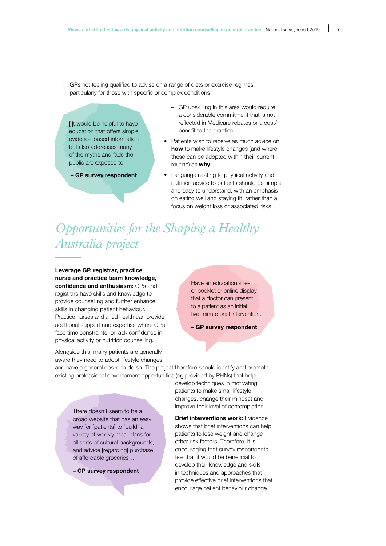<span id="page-10-0"></span>– GPs not feeling qualified to advise on a range of diets or exercise regimes, particularly for those with specific or complex conditions

[I]t would be helpful to have education that offers simple evidence-based information but also addresses many of the myths and fads the public are exposed to.

- GP survey respondent
- GP upskilling in this area would require a considerable commitment that is not reflected in Medicare rebates or a cost/ benefit to the practice.
- Patients wish to receive as much advice on how to make lifestyle changes (and where these can be adopted within their current routine) as why.
- Language relating to physical activity and nutrition advice to patients should be simple and easy to understand, with an emphasis on eating well and staying fit, rather than a focus on weight loss or associated risks.

# *Opportunities for the Shaping a Healthy Australia project*

Leverage GP, registrar, practice nurse and practice team knowledge, confidence and enthusiasm: GPs and registrars have skills and knowledge to provide counselling and further enhance skills in changing patient behaviour. Practice nurses and allied health can provide additional support and expertise where GPs face time constraints, or lack confidence in physical activity or nutrition counselling.

Have an education sheet or booklet or online display that a doctor can present to a patient as an initial five-minute brief intervention.

– GP survey respondent

Alongside this, many patients are generally aware they need to adopt lifestyle changes

and have a general desire to do so. The project therefore should identify and promote existing professional development opportunities (eg provided by PHNs) that help

There doesn't seem to be a broad website that has an easy way for [patients] to 'build' a variety of weekly meal plans for all sorts of cultural backgrounds, and advice [regarding] purchase of affordable groceries …

– GP survey respondent

develop techniques in motivating patients to make small lifestyle changes, change their mindset and improve their level of contemplation.

**Brief interventions work: Evidence** shows that brief interventions can help patients to lose weight and change other risk factors. Therefore, it is encouraging that survey respondents feel that it would be beneficial to develop their knowledge and skills in techniques and approaches that provide effective brief interventions that encourage patient behaviour change.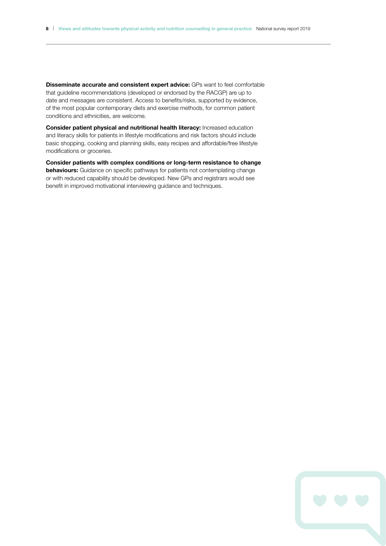Disseminate accurate and consistent expert advice: GPs want to feel comfortable that guideline recommendations (developed or endorsed by the RACGP) are up to date and messages are consistent. Access to benefits/risks, supported by evidence, of the most popular contemporary diets and exercise methods, for common patient conditions and ethnicities, are welcome.

Consider patient physical and nutritional health literacy: Increased education and literacy skills for patients in lifestyle modifications and risk factors should include basic shopping, cooking and planning skills, easy recipes and affordable/free lifestyle modifications or groceries.

Consider patients with complex conditions or long-term resistance to change **behaviours:** Guidance on specific pathways for patients not contemplating change or with reduced capability should be developed. New GPs and registrars would see benefit in improved motivational interviewing guidance and techniques.